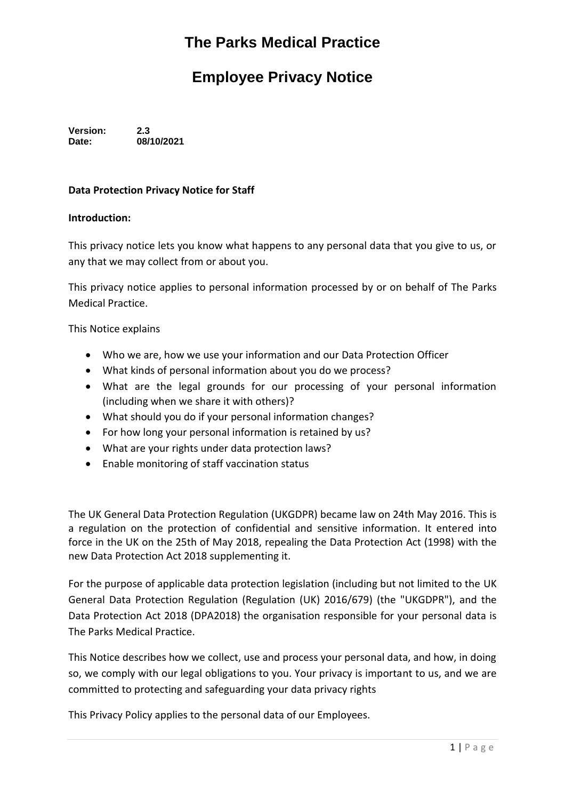# **The Parks Medical Practice**

## **Employee Privacy Notice**

**Version: 2.3 Date: 08/10/2021**

#### **Data Protection Privacy Notice for Staff**

#### **Introduction:**

This privacy notice lets you know what happens to any personal data that you give to us, or any that we may collect from or about you.

This privacy notice applies to personal information processed by or on behalf of The Parks Medical Practice.

This Notice explains

- Who we are, how we use your information and our Data Protection Officer
- What kinds of personal information about you do we process?
- What are the legal grounds for our processing of your personal information (including when we share it with others)?
- What should you do if your personal information changes?
- For how long your personal information is retained by us?
- What are your rights under data protection laws?
- Enable monitoring of staff vaccination status

The UK General Data Protection Regulation (UKGDPR) became law on 24th May 2016. This is a regulation on the protection of confidential and sensitive information. It entered into force in the UK on the 25th of May 2018, repealing the Data Protection Act (1998) with the new Data Protection Act 2018 supplementing it.

For the purpose of applicable data protection legislation (including but not limited to the UK General Data Protection Regulation (Regulation (UK) 2016/679) (the "UKGDPR"), and the Data Protection Act 2018 (DPA2018) the organisation responsible for your personal data is The Parks Medical Practice.

This Notice describes how we collect, use and process your personal data, and how, in doing so, we comply with our legal obligations to you. Your privacy is important to us, and we are committed to protecting and safeguarding your data privacy rights

This Privacy Policy applies to the personal data of our Employees.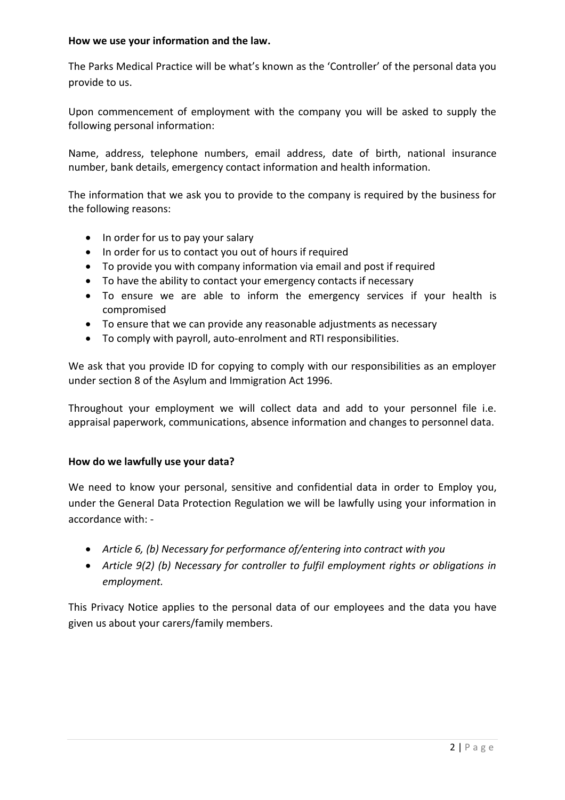#### **How we use your information and the law.**

The Parks Medical Practice will be what's known as the 'Controller' of the personal data you provide to us.

Upon commencement of employment with the company you will be asked to supply the following personal information:

Name, address, telephone numbers, email address, date of birth, national insurance number, bank details, emergency contact information and health information.

The information that we ask you to provide to the company is required by the business for the following reasons:

- In order for us to pay your salary
- In order for us to contact you out of hours if required
- To provide you with company information via email and post if required
- To have the ability to contact your emergency contacts if necessary
- To ensure we are able to inform the emergency services if your health is compromised
- To ensure that we can provide any reasonable adjustments as necessary
- To comply with payroll, auto-enrolment and RTI responsibilities.

We ask that you provide ID for copying to comply with our responsibilities as an employer under section 8 of the Asylum and Immigration Act 1996.

Throughout your employment we will collect data and add to your personnel file i.e. appraisal paperwork, communications, absence information and changes to personnel data.

## **How do we lawfully use your data?**

We need to know your personal, sensitive and confidential data in order to Employ you, under the General Data Protection Regulation we will be lawfully using your information in accordance with: -

- *Article 6, (b) Necessary for performance of/entering into contract with you*
- *Article 9(2) (b) Necessary for controller to fulfil employment rights or obligations in employment.*

This Privacy Notice applies to the personal data of our employees and the data you have given us about your carers/family members.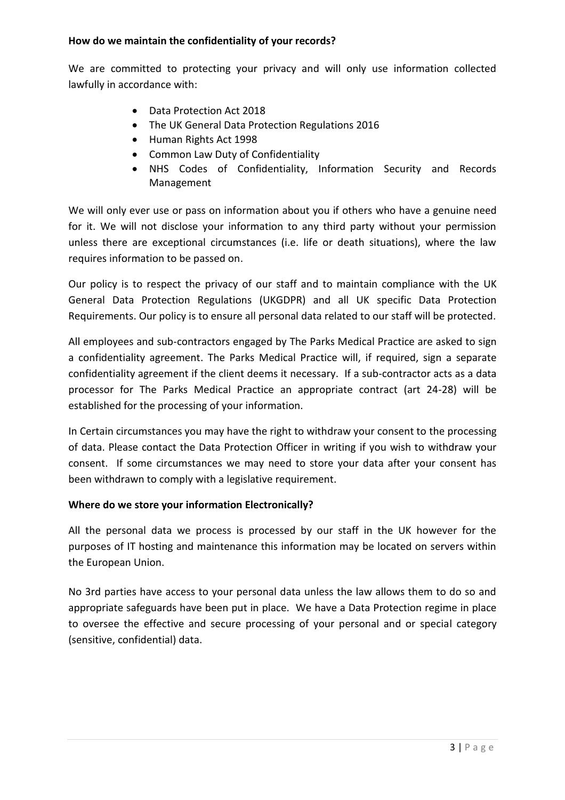## **How do we maintain the confidentiality of your records?**

We are committed to protecting your privacy and will only use information collected lawfully in accordance with:

- Data Protection Act 2018
- The UK General Data Protection Regulations 2016
- Human Rights Act 1998
- Common Law Duty of Confidentiality
- NHS Codes of Confidentiality, Information Security and Records Management

We will only ever use or pass on information about you if others who have a genuine need for it. We will not disclose your information to any third party without your permission unless there are exceptional circumstances (i.e. life or death situations), where the law requires information to be passed on.

Our policy is to respect the privacy of our staff and to maintain compliance with the UK General Data Protection Regulations (UKGDPR) and all UK specific Data Protection Requirements. Our policy is to ensure all personal data related to our staff will be protected.

All employees and sub-contractors engaged by The Parks Medical Practice are asked to sign a confidentiality agreement. The Parks Medical Practice will, if required, sign a separate confidentiality agreement if the client deems it necessary. If a sub-contractor acts as a data processor for The Parks Medical Practice an appropriate contract (art 24-28) will be established for the processing of your information.

In Certain circumstances you may have the right to withdraw your consent to the processing of data. Please contact the Data Protection Officer in writing if you wish to withdraw your consent. If some circumstances we may need to store your data after your consent has been withdrawn to comply with a legislative requirement.

## **Where do we store your information Electronically?**

All the personal data we process is processed by our staff in the UK however for the purposes of IT hosting and maintenance this information may be located on servers within the European Union.

No 3rd parties have access to your personal data unless the law allows them to do so and appropriate safeguards have been put in place. We have a Data Protection regime in place to oversee the effective and secure processing of your personal and or special category (sensitive, confidential) data.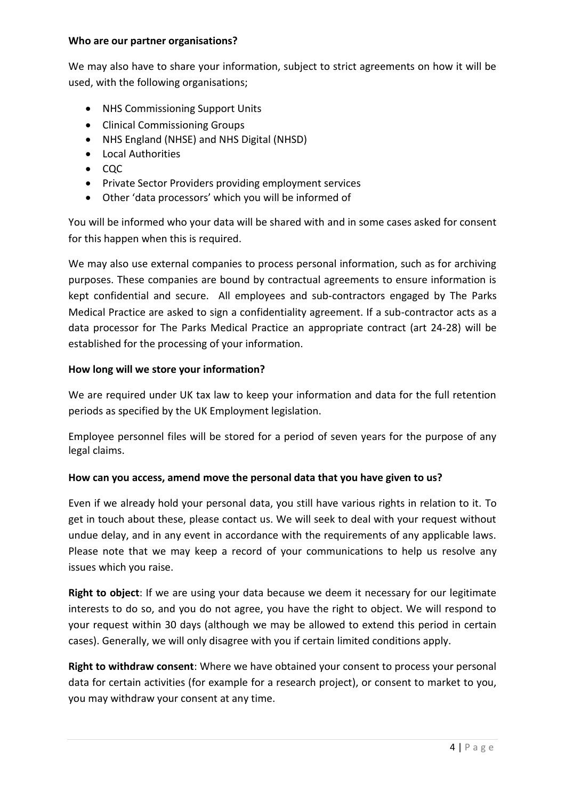#### **Who are our partner organisations?**

We may also have to share your information, subject to strict agreements on how it will be used, with the following organisations;

- NHS Commissioning Support Units
- Clinical Commissioning Groups
- NHS England (NHSE) and NHS Digital (NHSD)
- Local Authorities
- $\bullet$  CQC
- Private Sector Providers providing employment services
- Other 'data processors' which you will be informed of

You will be informed who your data will be shared with and in some cases asked for consent for this happen when this is required.

We may also use external companies to process personal information, such as for archiving purposes. These companies are bound by contractual agreements to ensure information is kept confidential and secure. All employees and sub-contractors engaged by The Parks Medical Practice are asked to sign a confidentiality agreement. If a sub-contractor acts as a data processor for The Parks Medical Practice an appropriate contract (art 24-28) will be established for the processing of your information.

## **How long will we store your information?**

We are required under UK tax law to keep your information and data for the full retention periods as specified by the UK Employment legislation.

Employee personnel files will be stored for a period of seven years for the purpose of any legal claims.

## **How can you access, amend move the personal data that you have given to us?**

Even if we already hold your personal data, you still have various rights in relation to it. To get in touch about these, please contact us. We will seek to deal with your request without undue delay, and in any event in accordance with the requirements of any applicable laws. Please note that we may keep a record of your communications to help us resolve any issues which you raise.

**Right to object**: If we are using your data because we deem it necessary for our legitimate interests to do so, and you do not agree, you have the right to object. We will respond to your request within 30 days (although we may be allowed to extend this period in certain cases). Generally, we will only disagree with you if certain limited conditions apply.

**Right to withdraw consent**: Where we have obtained your consent to process your personal data for certain activities (for example for a research project), or consent to market to you, you may withdraw your consent at any time.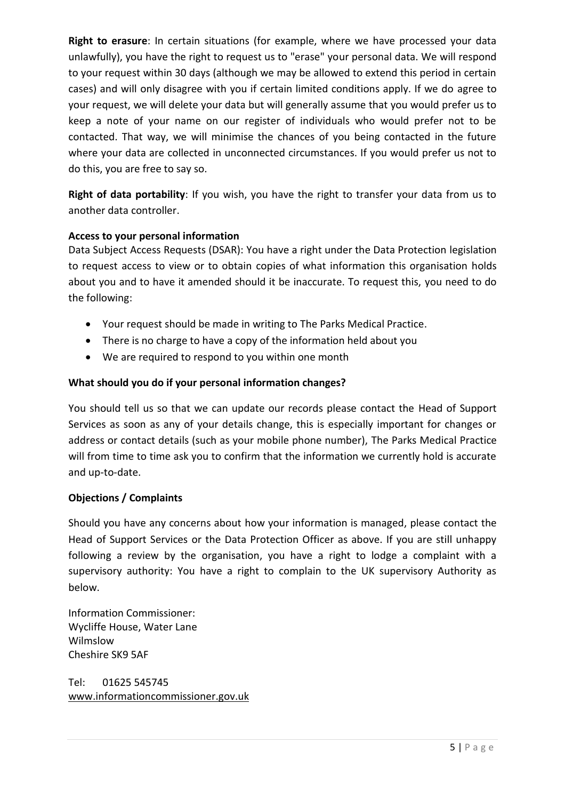**Right to erasure**: In certain situations (for example, where we have processed your data unlawfully), you have the right to request us to "erase" your personal data. We will respond to your request within 30 days (although we may be allowed to extend this period in certain cases) and will only disagree with you if certain limited conditions apply. If we do agree to your request, we will delete your data but will generally assume that you would prefer us to keep a note of your name on our register of individuals who would prefer not to be contacted. That way, we will minimise the chances of you being contacted in the future where your data are collected in unconnected circumstances. If you would prefer us not to do this, you are free to say so.

**Right of data portability**: If you wish, you have the right to transfer your data from us to another data controller.

## **Access to your personal information**

Data Subject Access Requests (DSAR): You have a right under the Data Protection legislation to request access to view or to obtain copies of what information this organisation holds about you and to have it amended should it be inaccurate. To request this, you need to do the following:

- Your request should be made in writing to The Parks Medical Practice.
- There is no charge to have a copy of the information held about you
- We are required to respond to you within one month

## **What should you do if your personal information changes?**

You should tell us so that we can update our records please contact the Head of Support Services as soon as any of your details change, this is especially important for changes or address or contact details (such as your mobile phone number), The Parks Medical Practice will from time to time ask you to confirm that the information we currently hold is accurate and up-to-date.

## **Objections / Complaints**

Should you have any concerns about how your information is managed, please contact the Head of Support Services or the Data Protection Officer as above. If you are still unhappy following a review by the organisation, you have a right to lodge a complaint with a supervisory authority: You have a right to complain to the UK supervisory Authority as below.

Information Commissioner: Wycliffe House, Water Lane Wilmslow Cheshire SK9 5AF

Tel: 01625 545745 [www.informationc](http://www.information/)ommissioner.gov.uk